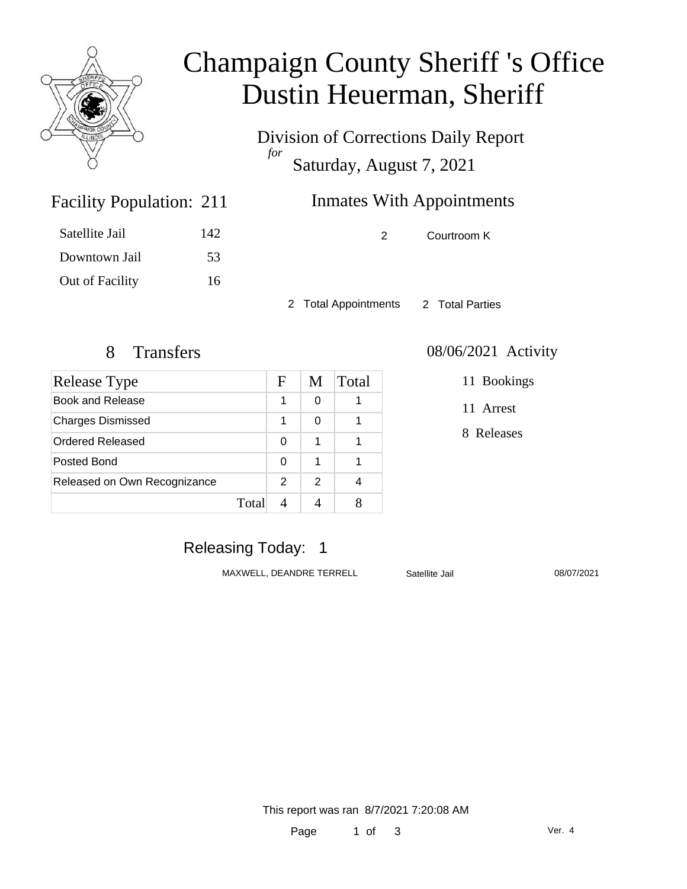

# Champaign County Sheriff 's Office Dustin Heuerman, Sheriff

Division of Corrections Daily Report *for* Saturday, August 7, 2021

# **Inmates With Appointments**

2 Courtroom K

Satellite Jail 142 Downtown Jail 53 Out of Facility 16

Facility Population: 211

2 Total Appointments 2 Total Parties

# 8 Transfers 08/06/2021 Activity

| <b>Release Type</b>          |       | F             | M             | Total |
|------------------------------|-------|---------------|---------------|-------|
| Book and Release             |       | 1             | 0             |       |
| <b>Charges Dismissed</b>     |       | 1             | 0             |       |
| <b>Ordered Released</b>      |       | 0             | 1             |       |
| Posted Bond                  |       | 0             | 1             |       |
| Released on Own Recognizance |       | $\mathcal{P}$ | $\mathcal{P}$ |       |
|                              | Total |               |               |       |

#### 11 Bookings

11 Arrest

8 Releases

### Releasing Today: 1

MAXWELL, DEANDRE TERRELL Satellite Jail 08/07/2021

This report was ran 8/7/2021 7:20:08 AM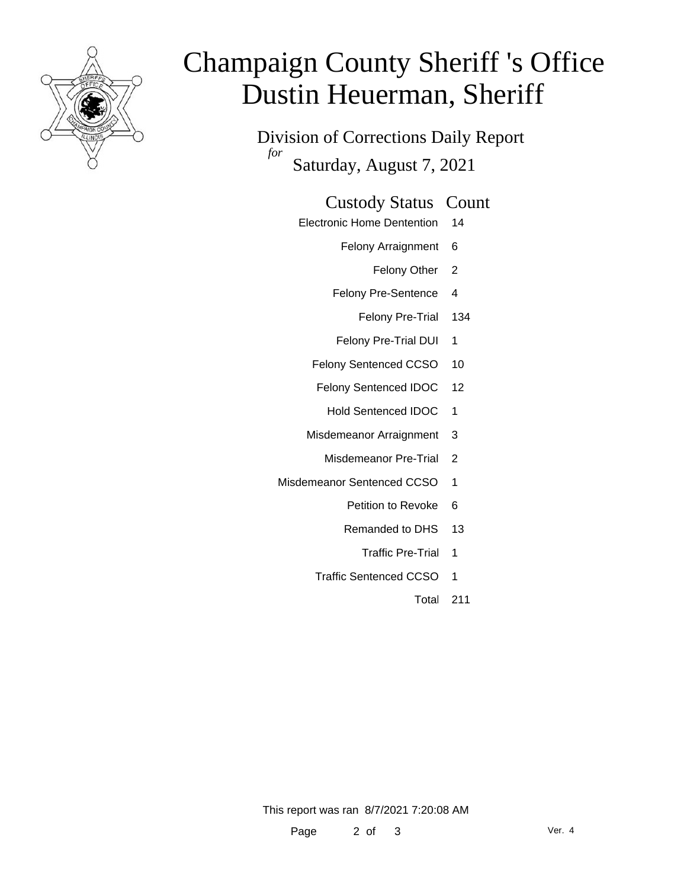

# Champaign County Sheriff 's Office Dustin Heuerman, Sheriff

Division of Corrections Daily Report *for* Saturday, August 7, 2021

#### Custody Status Count

- Electronic Home Dentention 14
	- Felony Arraignment 6
		- Felony Other 2
	- Felony Pre-Sentence 4
		- Felony Pre-Trial 134
	- Felony Pre-Trial DUI 1
	- Felony Sentenced CCSO 10
	- Felony Sentenced IDOC 12
		- Hold Sentenced IDOC 1
	- Misdemeanor Arraignment 3
		- Misdemeanor Pre-Trial 2
- Misdemeanor Sentenced CCSO 1
	- Petition to Revoke 6
	- Remanded to DHS 13
		- Traffic Pre-Trial 1
	- Traffic Sentenced CCSO 1
		- Total 211

This report was ran 8/7/2021 7:20:08 AM